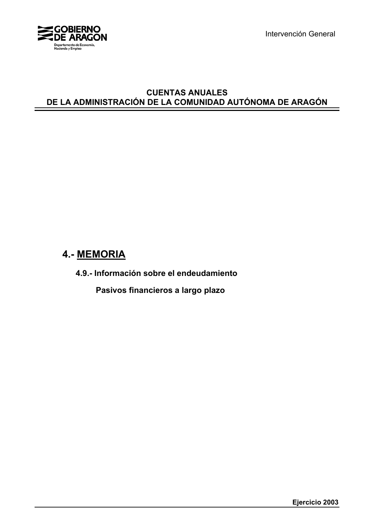

Intervención General

# **CUENTAS ANUALES DE LA ADMINISTRACIÓN DE LA COMUNIDAD AUTÓNOMA DE ARAGÓN**

# **4.- MEMORIA**

**4.9.- Información sobre el endeudamiento**

 **Pasivos financieros a largo plazo**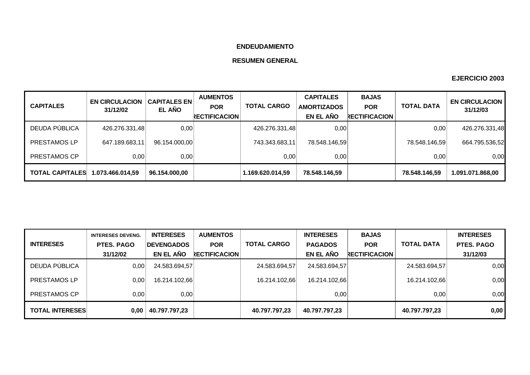# **ENDEUDAMIENTO**

# **RESUMEN GENERAL**

| <b>CAPITALES</b>       | <b>EN CIRCULACION</b><br>31/12/02 | <b>CAPITALES EN</b><br><b>EL AÑO</b> | <b>AUMENTOS</b><br><b>POR</b><br><b>RECTIFICACION</b> | <b>TOTAL CARGO</b> | <b>CAPITALES</b><br><b>AMORTIZADOS</b><br>EN EL AÑO | <b>BAJAS</b><br><b>POR</b><br><b>RECTIFICACION</b> | <b>TOTAL DATA</b> | <b>EN CIRCULACION</b><br>31/12/03 |
|------------------------|-----------------------------------|--------------------------------------|-------------------------------------------------------|--------------------|-----------------------------------------------------|----------------------------------------------------|-------------------|-----------------------------------|
| DEUDA PÚBLICA          | 426.276.331,48                    | 0,00                                 |                                                       | 426.276.331,48     | 0,00                                                |                                                    | 0,00              | 426.276.331,48                    |
| PRESTAMOS LP           | 647.189.683,11                    | 96.154.000.00                        |                                                       | 743.343.683,11     | 78.548.146,59                                       |                                                    | 78.548.146,59     | 664.795.536,52                    |
| PRESTAMOS CP           | 0.00                              | 0,00                                 |                                                       | 0,00               | 0,00                                                |                                                    | 0,00              | 0,00                              |
| <b>TOTAL CAPITALES</b> | 1.073.466.014.59                  | 96.154.000,00                        |                                                       | 1.169.620.014.59   | 78.548.146,59                                       |                                                    | 78.548.146.59     | 1.091.071.868,00                  |

|                        | <b>INTERESES DEVENG.</b> | <b>INTERESES</b>  | <b>AUMENTOS</b>      |                    | <b>INTERESES</b> | <b>BAJAS</b>         |                   | <b>INTERESES</b> |
|------------------------|--------------------------|-------------------|----------------------|--------------------|------------------|----------------------|-------------------|------------------|
| <b>INTERESES</b>       | <b>PTES. PAGO</b>        | <b>DEVENGADOS</b> | <b>POR</b>           | <b>TOTAL CARGO</b> | <b>PAGADOS</b>   | <b>POR</b>           | <b>TOTAL DATA</b> | PTES. PAGO       |
|                        | 31/12/02                 | EN EL AÑO         | <b>RECTIFICACION</b> |                    | EN EL AÑO        | <b>RECTIFICACION</b> |                   | 31/12/03         |
| DEUDA PÚBLICA          | 0,00                     | 24.583.694,57     |                      | 24.583.694,57      | 24.583.694,57    |                      | 24.583.694,57     | 0,00             |
| PRESTAMOS LP           | 0.00                     | 16.214.102,66     |                      | 16.214.102.66      | 16.214.102,66    |                      | 16.214.102,66     | 0,00             |
| PRESTAMOS CP           | 0.001                    | 0.00              |                      |                    | 0,00             |                      | 0,00              | 0,00             |
| <b>TOTAL INTERESES</b> | 0.00                     | 40.797.797,23     |                      | 40.797.797,23      | 40.797.797,23    |                      | 40.797.797,23     | 0,00             |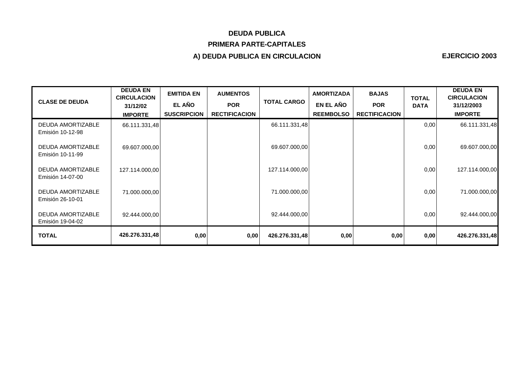# **DEUDA PUBLICA PRIMERA PARTE-CAPITALES**

# **A) DEUDA PUBLICA EN CIRCULACION**

| <b>CLASE DE DEUDA</b>                        | <b>DEUDA EN</b><br><b>CIRCULACION</b><br>31/12/02<br><b>IMPORTE</b> | <b>EMITIDA EN</b><br><b>EL AÑO</b><br><b>SUSCRIPCION</b> | <b>AUMENTOS</b><br><b>POR</b><br><b>RECTIFICACION</b> | <b>TOTAL CARGO</b> | <b>AMORTIZADA</b><br>EN EL AÑO<br><b>REEMBOLSO</b> | <b>BAJAS</b><br><b>POR</b><br><b>RECTIFICACION</b> | <b>TOTAL</b><br><b>DATA</b> | <b>DEUDA EN</b><br><b>CIRCULACION</b><br>31/12/2003<br><b>IMPORTE</b> |
|----------------------------------------------|---------------------------------------------------------------------|----------------------------------------------------------|-------------------------------------------------------|--------------------|----------------------------------------------------|----------------------------------------------------|-----------------------------|-----------------------------------------------------------------------|
| DEUDA AMORTIZABLE<br>Emisión 10-12-98        | 66.111.331,48                                                       |                                                          |                                                       | 66.111.331,48      |                                                    |                                                    | 0,00                        | 66.111.331,48                                                         |
| <b>DEUDA AMORTIZABLE</b><br>Emisión 10-11-99 | 69.607.000,00                                                       |                                                          |                                                       | 69.607.000,00      |                                                    |                                                    | 0,00                        | 69.607.000,00                                                         |
| DEUDA AMORTIZABLE<br>Emisión 14-07-00        | 127.114.000,00                                                      |                                                          |                                                       | 127.114.000,00     |                                                    |                                                    | 0,00                        | 127.114.000,00                                                        |
| <b>DEUDA AMORTIZABLE</b><br>Emisión 26-10-01 | 71.000.000,00                                                       |                                                          |                                                       | 71.000.000,00      |                                                    |                                                    | 0,00                        | 71.000.000,00                                                         |
| <b>DEUDA AMORTIZABLE</b><br>Emisión 19-04-02 | 92.444.000,00                                                       |                                                          |                                                       | 92.444.000,00      |                                                    |                                                    | 0,00                        | 92.444.000,00                                                         |
| <b>TOTAL</b>                                 | 426.276.331,48                                                      | 0,00                                                     | 0,00                                                  | 426.276.331,48     | 0,00                                               | 0,00                                               | 0,00                        | 426.276.331,48                                                        |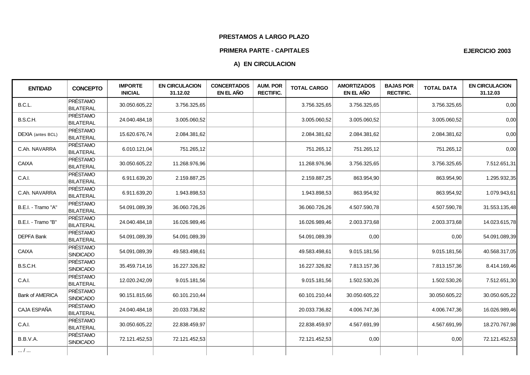### **PRESTAMOS A LARGO PLAZO**

#### **PRIMERA PARTE - CAPITALES**

# **A) EN CIRCULACION**

| <b>ENTIDAD</b>         | <b>CONCEPTO</b>                     | <b>IMPORTE</b><br><b>INICIAL</b> | <b>EN CIRCULACION</b><br>31.12.02 | <b>CONCERTADOS</b><br>EN EL AÑO | <b>AUM. POR</b><br><b>RECTIFIC.</b> | <b>TOTAL CARGO</b> | <b>AMORTIZADOS</b><br>EN EL AÑO | <b>BAJAS POR</b><br><b>RECTIFIC.</b> | <b>TOTAL DATA</b> | <b>EN CIRCULACION</b><br>31.12.03 |
|------------------------|-------------------------------------|----------------------------------|-----------------------------------|---------------------------------|-------------------------------------|--------------------|---------------------------------|--------------------------------------|-------------------|-----------------------------------|
| B.C.L.                 | <b>PRÉSTAMO</b><br><b>BILATERAL</b> | 30.050.605,22                    | 3.756.325,65                      |                                 |                                     | 3.756.325,65       | 3.756.325,65                    |                                      | 3.756.325,65      | 0,00                              |
| B.S.C.H.               | <b>PRÉSTAMO</b><br><b>BILATERAL</b> | 24.040.484,18                    | 3.005.060,52                      |                                 |                                     | 3.005.060,52       | 3.005.060,52                    |                                      | 3.005.060,52      | 0,00                              |
| DEXIA (antes BCL)      | <b>PRÉSTAMO</b><br>BILATERAL        | 15.620.676,74                    | 2.084.381,62                      |                                 |                                     | 2.084.381,62       | 2.084.381,62                    |                                      | 2.084.381,62      | 0,00                              |
| C.Ah. NAVARRA          | <b>PRÉSTAMO</b><br>BILATERAL        | 6.010.121,04                     | 751.265,12                        |                                 |                                     | 751.265,12         | 751.265,12                      |                                      | 751.265,12        | 0,00                              |
| CAIXA                  | <b>PRÉSTAMO</b><br><b>BILATERAL</b> | 30.050.605,22                    | 11.268.976,96                     |                                 |                                     | 11.268.976,96      | 3.756.325,65                    |                                      | 3.756.325,65      | 7.512.651,31                      |
| C.A.I.                 | <b>PRÉSTAMO</b><br>BILATERAL        | 6.911.639,20                     | 2.159.887,25                      |                                 |                                     | 2.159.887,25       | 863.954,90                      |                                      | 863.954,90        | 1.295.932,35                      |
| C.Ah. NAVARRA          | <b>PRÉSTAMO</b><br>BILATERAL        | 6.911.639,20                     | 1.943.898,53                      |                                 |                                     | 1.943.898,53       | 863.954,92                      |                                      | 863.954,92        | 1.079.943,61                      |
| B.E.I. - Tramo "A"     | <b>PRÉSTAMO</b><br>BILATERAL        | 54.091.089,39                    | 36.060.726,26                     |                                 |                                     | 36.060.726,26      | 4.507.590,78                    |                                      | 4.507.590,78      | 31.553.135,48                     |
| B.E.I. - Tramo "B"     | <b>PRÉSTAMO</b><br>BILATERAL        | 24.040.484,18                    | 16.026.989,46                     |                                 |                                     | 16.026.989,46      | 2.003.373,68                    |                                      | 2.003.373,68      | 14.023.615,78                     |
| <b>DEPFA Bank</b>      | <b>PRÉSTAMO</b><br><b>BILATERAL</b> | 54.091.089,39                    | 54.091.089,39                     |                                 |                                     | 54.091.089,39      | 0,00                            |                                      | 0,00              | 54.091.089,39                     |
| <b>CAIXA</b>           | <b>PRÉSTAMO</b><br><b>SINDICADO</b> | 54.091.089,39                    | 49.583.498,61                     |                                 |                                     | 49.583.498,61      | 9.015.181,56                    |                                      | 9.015.181,56      | 40.568.317,05                     |
| B.S.C.H.               | <b>PRÉSTAMO</b><br><b>SINDICADO</b> | 35.459.714,16                    | 16.227.326,82                     |                                 |                                     | 16.227.326,82      | 7.813.157,36                    |                                      | 7.813.157,36      | 8.414.169,46                      |
| C.A.I.                 | <b>PRÉSTAMO</b><br>BILATERAL        | 12.020.242,09                    | 9.015.181,56                      |                                 |                                     | 9.015.181,56       | 1.502.530,26                    |                                      | 1.502.530,26      | 7.512.651,30                      |
| <b>Bank of AMERICA</b> | <b>PRÉSTAMO</b><br>SINDICADO        | 90.151.815,66                    | 60.101.210,44                     |                                 |                                     | 60.101.210,44      | 30.050.605,22                   |                                      | 30.050.605,22     | 30.050.605,22                     |
| CAJA ESPAÑA            | <b>PRÉSTAMO</b><br>BILATERAL        | 24.040.484,18                    | 20.033.736,82                     |                                 |                                     | 20.033.736,82      | 4.006.747,36                    |                                      | 4.006.747,36      | 16.026.989,46                     |
| C.A.I.                 | <b>PRÉSTAMO</b><br>BILATERAL        | 30.050.605,22                    | 22.838.459,97                     |                                 |                                     | 22.838.459,97      | 4.567.691,99                    |                                      | 4.567.691,99      | 18.270.767,98                     |
| B.B.V.A.               | <b>PRÉSTAMO</b><br><b>SINDICADO</b> | 72.121.452,53                    | 72.121.452,53                     |                                 |                                     | 72.121.452,53      | 0,00                            |                                      | 0,00              | 72.121.452,53                     |
| /                      |                                     |                                  |                                   |                                 |                                     |                    |                                 |                                      |                   |                                   |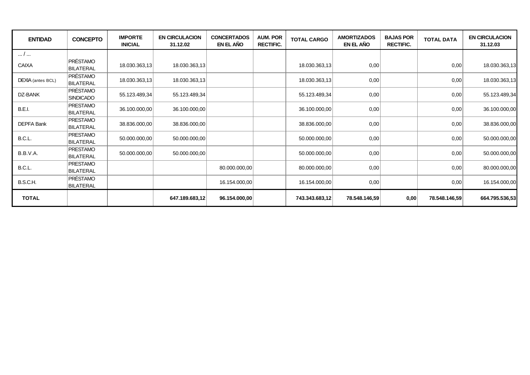| <b>ENTIDAD</b>    | <b>CONCEPTO</b>                     | <b>IMPORTE</b><br><b>INICIAL</b> | <b>EN CIRCULACION</b><br>31.12.02 | <b>CONCERTADOS</b><br>EN EL AÑO | <b>AUM. POR</b><br><b>RECTIFIC.</b> | <b>TOTAL CARGO</b> | <b>AMORTIZADOS</b><br>EN EL AÑO | <b>BAJAS POR</b><br><b>RECTIFIC.</b> | <b>TOTAL DATA</b> | <b>EN CIRCULACION</b><br>31.12.03 |
|-------------------|-------------------------------------|----------------------------------|-----------------------------------|---------------------------------|-------------------------------------|--------------------|---------------------------------|--------------------------------------|-------------------|-----------------------------------|
| /                 |                                     |                                  |                                   |                                 |                                     |                    |                                 |                                      |                   |                                   |
| <b>CAIXA</b>      | PRÉSTAMO<br><b>BILATERAL</b>        | 18.030.363,13                    | 18.030.363,13                     |                                 |                                     | 18.030.363,13      | 0,00                            |                                      | 0,00              | 18.030.363,13                     |
| DEXIA (antes BCL) | <b>PRÉSTAMO</b><br>BILATERAL        | 18.030.363,13                    | 18.030.363,13                     |                                 |                                     | 18.030.363,13      | 0,00                            |                                      | 0,00              | 18.030.363,13                     |
| DZ-BANK           | PRÉSTAMO<br><b>SINDICADO</b>        | 55.123.489,34                    | 55.123.489,34                     |                                 |                                     | 55.123.489,34      | 0,00                            |                                      | 0,00              | 55.123.489,34                     |
| <b>B.E.I.</b>     | <b>PRESTAMO</b><br><b>BILATERAL</b> | 36.100.000,00                    | 36.100.000,00                     |                                 |                                     | 36.100.000,00      | 0,00                            |                                      | 0,00              | 36.100.000,00                     |
| <b>DEPFA Bank</b> | <b>PRESTAMO</b><br>BILATERAL        | 38.836.000,00                    | 38.836.000,00                     |                                 |                                     | 38.836.000,00      | 0,00                            |                                      | 0,00              | 38.836.000,00                     |
| B.C.L.            | PRESTAMO<br><b>BILATERAL</b>        | 50.000.000,00                    | 50.000.000,00                     |                                 |                                     | 50.000.000,00      | 0,00                            |                                      | 0,00              | 50.000.000,00                     |
| B.B.V.A.          | <b>PRESTAMO</b><br><b>BILATERAL</b> | 50.000.000,00                    | 50.000.000,00                     |                                 |                                     | 50.000.000,00      | 0,00                            |                                      | 0,00              | 50.000.000,00                     |
| B.C.L.            | <b>PRESTAMO</b><br><b>BILATERAL</b> |                                  |                                   | 80.000.000,00                   |                                     | 80.000.000,00      | 0,00                            |                                      | 0,00              | 80.000.000,00                     |
| B.S.C.H.          | PRÉSTAMO<br><b>BILATERAL</b>        |                                  |                                   | 16.154.000,00                   |                                     | 16.154.000,00      | 0,00                            |                                      | 0,00              | 16.154.000,00                     |
| <b>TOTAL</b>      |                                     |                                  | 647.189.683,12                    | 96.154.000,00                   |                                     | 743.343.683,12     | 78.548.146,59                   | 0,00                                 | 78.548.146,59     | 664.795.536,53                    |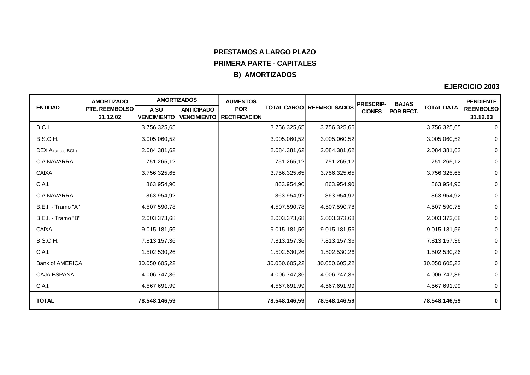# **PRESTAMOS A LARGO PLAZO PRIMERA PARTE - CAPITALES B) AMORTIZADOS**

|                    | <b>AMORTIZADO</b>          | <b>AMORTIZADOS</b>         |                                         | <b>AUMENTOS</b>                    |               |                                   | <b>PRESCRIP-</b> | <b>BAJAS</b> |                   | <b>PENDIENTE</b>             |
|--------------------|----------------------------|----------------------------|-----------------------------------------|------------------------------------|---------------|-----------------------------------|------------------|--------------|-------------------|------------------------------|
| <b>ENTIDAD</b>     | PTE. REEMBOLSO<br>31.12.02 | A SU<br><b>VENCIMIENTO</b> | <b>ANTICIPADO</b><br><b>VENCIMIENTO</b> | <b>POR</b><br><b>RECTIFICACION</b> |               | <b>TOTAL CARGO   REEMBOLSADOS</b> | <b>CIONES</b>    | POR RECT.    | <b>TOTAL DATA</b> | <b>REEMBOLSO</b><br>31.12.03 |
|                    |                            |                            |                                         |                                    |               |                                   |                  |              |                   |                              |
| B.C.L.             |                            | 3.756.325,65               |                                         |                                    | 3.756.325,65  | 3.756.325,65                      |                  |              | 3.756.325,65      | 0                            |
| B.S.C.H.           |                            | 3.005.060,52               |                                         |                                    | 3.005.060,52  | 3.005.060,52                      |                  |              | 3.005.060,52      | $\mathsf{O}\xspace$          |
| DEXIA (antes BCL)  |                            | 2.084.381,62               |                                         |                                    | 2.084.381,62  | 2.084.381,62                      |                  |              | 2.084.381,62      | $\mathsf{O}$                 |
| C.A.NAVARRA        |                            | 751.265,12                 |                                         |                                    | 751.265,12    | 751.265,12                        |                  |              | 751.265,12        | $\pmb{0}$                    |
| <b>CAIXA</b>       |                            | 3.756.325,65               |                                         |                                    | 3.756.325,65  | 3.756.325,65                      |                  |              | 3.756.325,65      | $\mathsf{O}\xspace$          |
| C.A.I.             |                            | 863.954,90                 |                                         |                                    | 863.954,90    | 863.954,90                        |                  |              | 863.954,90        | $\mathsf{O}\xspace$          |
| C.A.NAVARRA        |                            | 863.954,92                 |                                         |                                    | 863.954,92    | 863.954,92                        |                  |              | 863.954,92        | $\mathsf{O}\xspace$          |
| B.E.I. - Tramo "A" |                            | 4.507.590,78               |                                         |                                    | 4.507.590,78  | 4.507.590,78                      |                  |              | 4.507.590,78      | $\pmb{0}$                    |
| B.E.I. - Tramo "B" |                            | 2.003.373,68               |                                         |                                    | 2.003.373,68  | 2.003.373,68                      |                  |              | 2.003.373,68      | $\pmb{0}$                    |
| <b>CAIXA</b>       |                            | 9.015.181,56               |                                         |                                    | 9.015.181,56  | 9.015.181,56                      |                  |              | 9.015.181,56      | $\mathbf 0$                  |
| B.S.C.H.           |                            | 7.813.157,36               |                                         |                                    | 7.813.157,36  | 7.813.157,36                      |                  |              | 7.813.157,36      | $\pmb{0}$                    |
| C.A.I.             |                            | 1.502.530,26               |                                         |                                    | 1.502.530,26  | 1.502.530,26                      |                  |              | 1.502.530,26      | $\mathbf 0$                  |
| Bank of AMERICA    |                            | 30.050.605,22              |                                         |                                    | 30.050.605,22 | 30.050.605,22                     |                  |              | 30.050.605,22     | $\mathsf{O}\xspace$          |
| CAJA ESPAÑA        |                            | 4.006.747,36               |                                         |                                    | 4.006.747,36  | 4.006.747,36                      |                  |              | 4.006.747,36      | $\mathbf 0$                  |
| C.A.I.             |                            | 4.567.691,99               |                                         |                                    | 4.567.691,99  | 4.567.691,99                      |                  |              | 4.567.691,99      | $\mathbf 0$                  |
| <b>TOTAL</b>       |                            | 78.548.146,59              |                                         |                                    | 78.548.146,59 | 78.548.146,59                     |                  |              | 78.548.146,59     | $\mathbf 0$                  |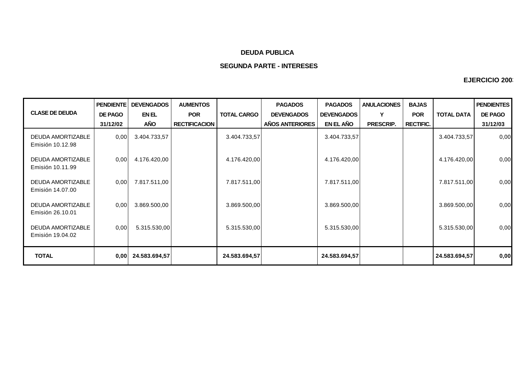### **DEUDA PUBLICA**

## **SEGUNDA PARTE - INTERESES**

| <b>CLASE DE DEUDA</b>                        | <b>PENDIENTE</b><br><b>DE PAGO</b><br>31/12/02 | <b>DEVENGADOS</b><br>EN EL<br><b>AÑO</b> | <b>AUMENTOS</b><br><b>POR</b><br><b>RECTIFICACION</b> | <b>TOTAL CARGO</b> | <b>PAGADOS</b><br><b>DEVENGADOS</b><br>AÑOS ANTERIORES | <b>PAGADOS</b><br><b>DEVENGADOS</b><br>EN EL AÑO | <b>ANULACIONES</b><br>Υ<br>PRESCRIP. | <b>BAJAS</b><br><b>POR</b><br><b>RECTIFIC.</b> | <b>TOTAL DATA</b> | <b>PENDIENTES</b><br><b>DE PAGO</b><br>31/12/03 |
|----------------------------------------------|------------------------------------------------|------------------------------------------|-------------------------------------------------------|--------------------|--------------------------------------------------------|--------------------------------------------------|--------------------------------------|------------------------------------------------|-------------------|-------------------------------------------------|
| <b>DEUDA AMORTIZABLE</b><br>Emisión 10.12.98 | 0,00                                           | 3.404.733,57                             |                                                       | 3.404.733,57       |                                                        | 3.404.733,57                                     |                                      |                                                | 3.404.733,57      | 0,00                                            |
| DEUDA AMORTIZABLE<br>Emisión 10.11.99        | 0,00                                           | 4.176.420,00                             |                                                       | 4.176.420,00       |                                                        | 4.176.420,00                                     |                                      |                                                | 4.176.420,00      | 0,00                                            |
| DEUDA AMORTIZABLE<br>Emisión 14.07.00        | 0,00                                           | 7.817.511,00                             |                                                       | 7.817.511,00       |                                                        | 7.817.511,00                                     |                                      |                                                | 7.817.511,00      | 0,00                                            |
| <b>DEUDA AMORTIZABLE</b><br>Emisión 26.10.01 | 0,00                                           | 3.869.500,00                             |                                                       | 3.869.500,00       |                                                        | 3.869.500,00                                     |                                      |                                                | 3.869.500,00      | 0,00                                            |
| <b>DEUDA AMORTIZABLE</b><br>Emisión 19.04.02 | 0,00                                           | 5.315.530,00                             |                                                       | 5.315.530,00       |                                                        | 5.315.530,00                                     |                                      |                                                | 5.315.530,00      | 0,00                                            |
| <b>TOTAL</b>                                 | 0,00                                           | 24.583.694,57                            |                                                       | 24.583.694,57      |                                                        | 24.583.694,57                                    |                                      |                                                | 24.583.694,57     | 0,00                                            |